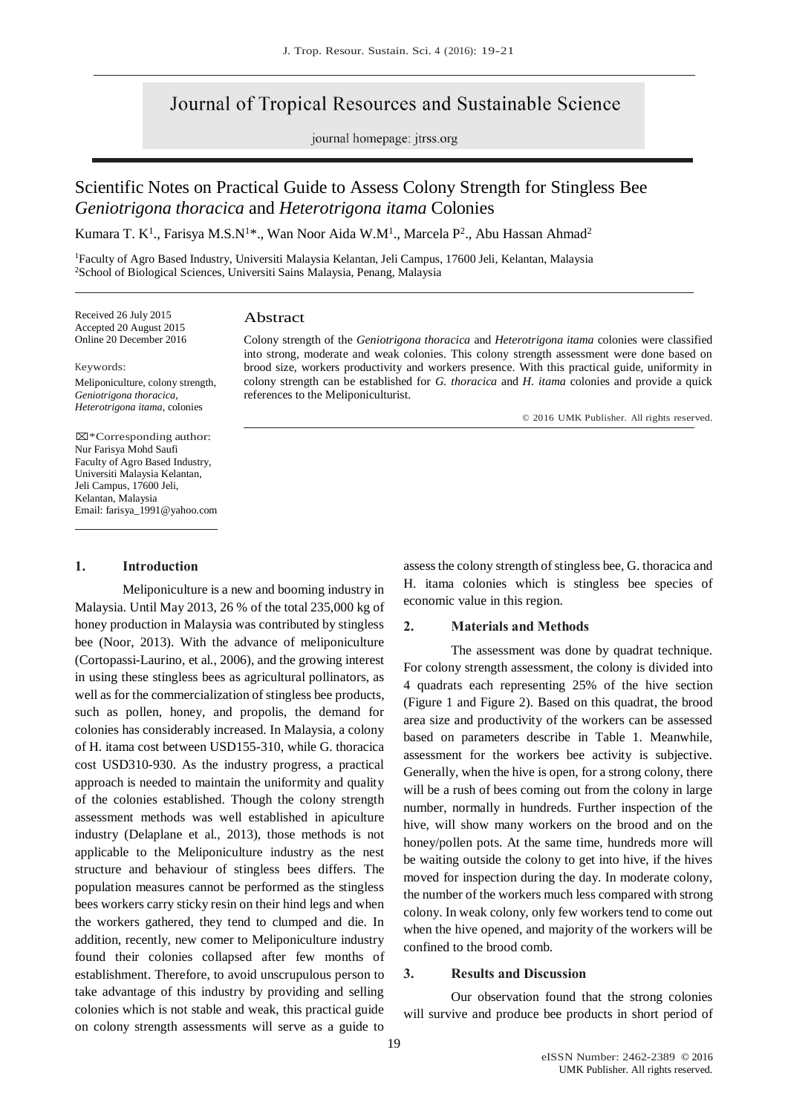# Journal of Tropical Resources and Sustainable Science

journal homepage: jtrss.org

# Scientific Notes on Practical Guide to Assess Colony Strength for Stingless Bee *Geniotrigona thoracica* and *Heterotrigona itama* Colonies

Kumara T. K<sup>1</sup>., Farisya M.S.N<sup>1\*</sup>., Wan Noor Aida W.M<sup>1</sup>., Marcela P<sup>2</sup>., Abu Hassan Ahmad<sup>2</sup>

<sup>1</sup>Faculty of Agro Based Industry, Universiti Malaysia Kelantan, Jeli Campus, 17600 Jeli, Kelantan, Malaysia <sup>2</sup>School of Biological Sciences, Universiti Sains Malaysia, Penang, Malaysia

Received 26 July 2015 Accepted 20 August 2015 Online 20 December 2016

# Abstract

Keywords: Meliponiculture, colony strength, *Geniotrigona thoracica*, *Heterotrigona itama*, colonies

Colony strength of the *Geniotrigona thoracica* and *Heterotrigona itama* colonies were classified into strong, moderate and weak colonies. This colony strength assessment were done based on brood size, workers productivity and workers presence. With this practical guide, uniformity in colony strength can be established for *G. thoracica* and *H. itama* colonies and provide a quick references to the Meliponiculturist.

© 2016 UMK Publisher. All rights reserved.

⌧\*Corresponding author: Nur Farisya Mohd Saufi Faculty of Agro Based Industry, Universiti Malaysia Kelantan, Jeli Campus, 17600 Jeli, Kelantan, Malaysia Email: farisya\_1991@yahoo.com

### **1. Introduction**

Meliponiculture is a new and booming industry in Malaysia. Until May 2013, 26 % of the total 235,000 kg of honey production in Malaysia was contributed by stingless bee (Noor, 2013). With the advance of meliponiculture (Cortopassi-Laurino, et al., 2006), and the growing interest in using these stingless bees as agricultural pollinators, as well as for the commercialization of stingless bee products, such as pollen, honey, and propolis, the demand for colonies has considerably increased. In Malaysia, a colony of H. itama cost between USD155-310, while G. thoracica cost USD310-930. As the industry progress, a practical approach is needed to maintain the uniformity and quality of the colonies established. Though the colony strength assessment methods was well established in apiculture industry (Delaplane et al., 2013), those methods is not applicable to the Meliponiculture industry as the nest structure and behaviour of stingless bees differs. The population measures cannot be performed as the stingless bees workers carry sticky resin on their hind legs and when the workers gathered, they tend to clumped and die. In addition, recently, new comer to Meliponiculture industry found their colonies collapsed after few months of establishment. Therefore, to avoid unscrupulous person to take advantage of this industry by providing and selling colonies which is not stable and weak, this practical guide on colony strength assessments will serve as a guide to

assess the colony strength of stingless bee, G. thoracica and H. itama colonies which is stingless bee species of economic value in this region.

#### **2. Materials and Methods**

The assessment was done by quadrat technique. For colony strength assessment, the colony is divided into 4 quadrats each representing 25% of the hive section (Figure 1 and Figure 2). Based on this quadrat, the brood area size and productivity of the workers can be assessed based on parameters describe in Table 1. Meanwhile, assessment for the workers bee activity is subjective. Generally, when the hive is open, for a strong colony, there will be a rush of bees coming out from the colony in large number, normally in hundreds. Further inspection of the hive, will show many workers on the brood and on the honey/pollen pots. At the same time, hundreds more will be waiting outside the colony to get into hive, if the hives moved for inspection during the day. In moderate colony, the number of the workers much less compared with strong colony. In weak colony, only few workers tend to come out when the hive opened, and majority of the workers will be confined to the brood comb.

#### **3. Results and Discussion**

Our observation found that the strong colonies will survive and produce bee products in short period of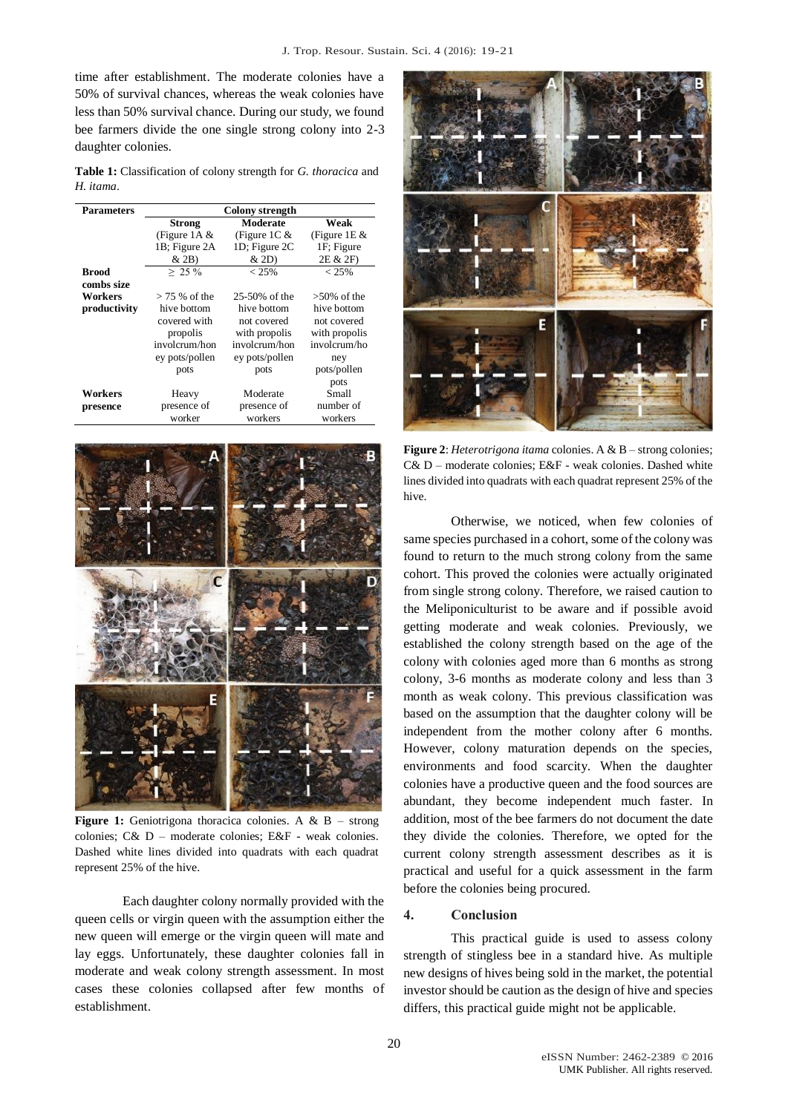time after establishment. The moderate colonies have a 50% of survival chances, whereas the weak colonies have less than 50% survival chance. During our study, we found bee farmers divide the one single strong colony into 2-3 daughter colonies.

**Table 1:** Classification of colony strength for *G. thoracica* and *H. itama*.

| <b>Parameters</b> | <b>Colony</b> strength |                |                |
|-------------------|------------------------|----------------|----------------|
|                   | <b>Strong</b>          | Moderate       | Weak           |
|                   | (Figure 1A $&$         | (Figure 1C $&$ | (Figure 1E $&$ |
|                   | 1B; Figure 2A          | 1D; Figure 2C  | 1F; Figure     |
|                   | $&$ 2B)                | & 2D)          | 2E & 2F)       |
| <b>Brood</b>      | $> 25\%$               | $< 25\%$       | $< 25\%$       |
| combs size        |                        |                |                |
| <b>Workers</b>    | $>$ 75 % of the        | 25-50% of the  | $>50\%$ of the |
| productivity      | hive bottom            | hive bottom    | hive bottom    |
|                   | covered with           | not covered    | not covered    |
|                   | propolis               | with propolis  | with propolis  |
|                   | involcrum/hon          | involcrum/hon  | involcrum/ho   |
|                   | ey pots/pollen         | ey pots/pollen | ney            |
|                   | pots                   | pots           | pots/pollen    |
|                   |                        |                | pots           |
| Workers           | Heavy                  | Moderate       | Small          |
| presence          | presence of            | presence of    | number of      |
|                   | worker                 | workers        | workers        |



**Figure 1:** Geniotrigona thoracica colonies. A & B – strong colonies; C& D – moderate colonies; E&F - weak colonies. Dashed white lines divided into quadrats with each quadrat represent 25% of the hive.

Each daughter colony normally provided with the queen cells or virgin queen with the assumption either the new queen will emerge or the virgin queen will mate and lay eggs. Unfortunately, these daughter colonies fall in moderate and weak colony strength assessment. In most cases these colonies collapsed after few months of establishment.



**Figure 2**: *Heterotrigona itama* colonies. A & B – strong colonies; C& D – moderate colonies; E&F - weak colonies. Dashed white lines divided into quadrats with each quadrat represent 25% of the hive.

Otherwise, we noticed, when few colonies of same species purchased in a cohort, some of the colony was found to return to the much strong colony from the same cohort. This proved the colonies were actually originated from single strong colony. Therefore, we raised caution to the Meliponiculturist to be aware and if possible avoid getting moderate and weak colonies. Previously, we established the colony strength based on the age of the colony with colonies aged more than 6 months as strong colony, 3-6 months as moderate colony and less than 3 month as weak colony. This previous classification was based on the assumption that the daughter colony will be independent from the mother colony after 6 months. However, colony maturation depends on the species, environments and food scarcity. When the daughter colonies have a productive queen and the food sources are abundant, they become independent much faster. In addition, most of the bee farmers do not document the date they divide the colonies. Therefore, we opted for the current colony strength assessment describes as it is practical and useful for a quick assessment in the farm before the colonies being procured.

## **4. Conclusion**

This practical guide is used to assess colony strength of stingless bee in a standard hive. As multiple new designs of hives being sold in the market, the potential investor should be caution as the design of hive and species differs, this practical guide might not be applicable.